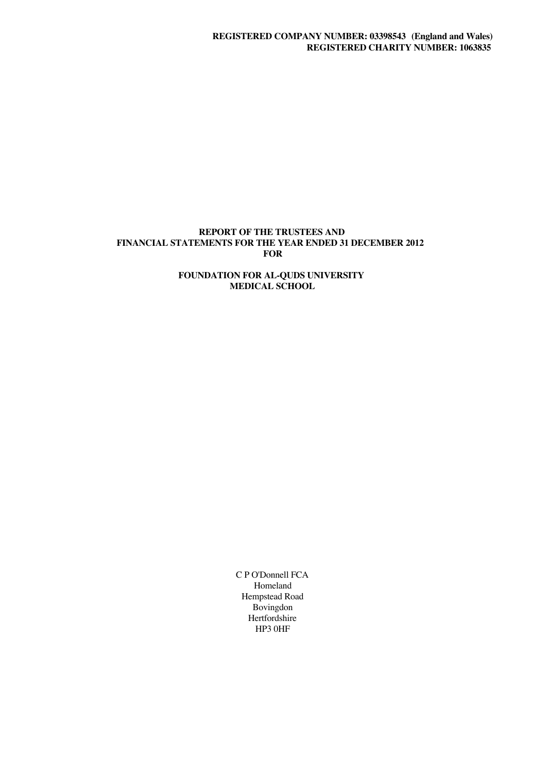## **REPORT OF THE TRUSTEES AND FINANCIAL STATEMENTS FOR THE YEAR ENDED 31 DECEMBER 2012 FOR**

## **FOUNDATION FOR AL-QUDS UNIVERSITY MEDICAL SCHOOL**

C P O'Donnell FCA Homeland Hempstead Road Bovingdon Hertfordshire HP3 0HF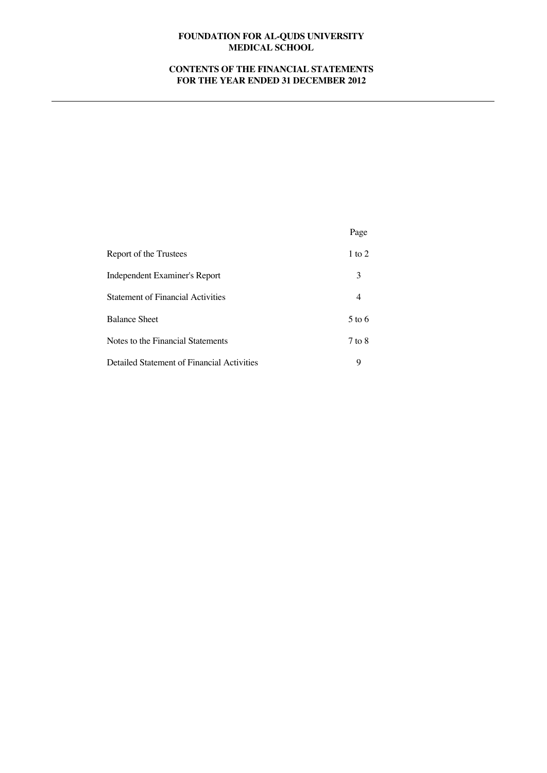# **CONTENTS OF THE FINANCIAL STATEMENTS FOR THE YEAR ENDED 31 DECEMBER 2012**

|                                            | Page       |
|--------------------------------------------|------------|
| Report of the Trustees                     | 1 to 2     |
| Independent Examiner's Report              | 3          |
| <b>Statement of Financial Activities</b>   |            |
| <b>Balance Sheet</b>                       | 5 to 6     |
| Notes to the Financial Statements          | $7$ to $8$ |
| Detailed Statement of Financial Activities | 9          |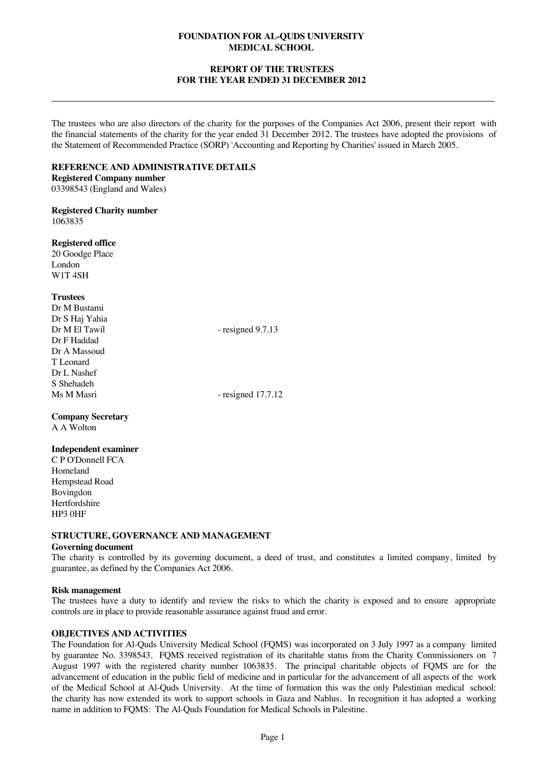## **REPORT OF THE TRUSTEES FOR THE YEAR ENDED 31 DECEMBER 2012**

The trustees who are also directors of the charity for the purposes of the Companies Act 2006, present their report with the financial statements of the charity for the year ended 31 December 2012. The trustees have adopted the provisions of the Statement of Recommended Practice (SORP) 'Accounting and Reporting by Charities' issued in March 2005.

### **REFERENCE AND ADMINISTRATIVE DETAILS**

**Registered Company number** 03398543 (England and Wales)

**Registered Charity number** 1063835

**Registered office**

20 Goodge Place London W1T 4SH

## **Trustees**

Dr M Bustami Dr S Haj Yahia Dr M El Tawil - resigned 9.7.13 Dr F Haddad Dr A Massoud T Leonard Dr L Nashef S Shehadeh<br>Ms M Masri  $-$  resigned 17.7.12

#### **Company Secretary** A A Wolton

# **Independent examiner**

C P O'Donnell FCA Homeland Hempstead Road Bovingdon Hertfordshire HP3 0HF

# **STRUCTURE, GOVERNANCE AND MANAGEMENT**

## **Governing document**

The charity is controlled by its governing document, a deed of trust, and constitutes a limited company, limited by guarantee, as defined by the Companies Act 2006.

## **Risk management**

The trustees have a duty to identify and review the risks to which the charity is exposed and to ensure appropriate controls are in place to provide reasonable assurance against fraud and error.

# **OBJECTIVES AND ACTIVITIES**

The Foundation for Al-Quds University Medical School (FQMS) was incorporated on 3 July 1997 as a company limited by guarantee No. 3398543. FQMS received registration of its charitable status from the Charity Commissioners on 7 August 1997 with the registered charity number 1063835. The principal charitable objects of FQMS are for the advancement of education in the public field of medicine and in particular for the advancement of all aspects of the work of the Medical School at Al-Quds University. At the time of formation this was the only Palestinian medical school: the charity has now extended its work to support schools in Gaza and Nablus. In recognition it has adopted a working name in addition to FQMS: The Al-Quds Foundation for Medical Schools in Palestine.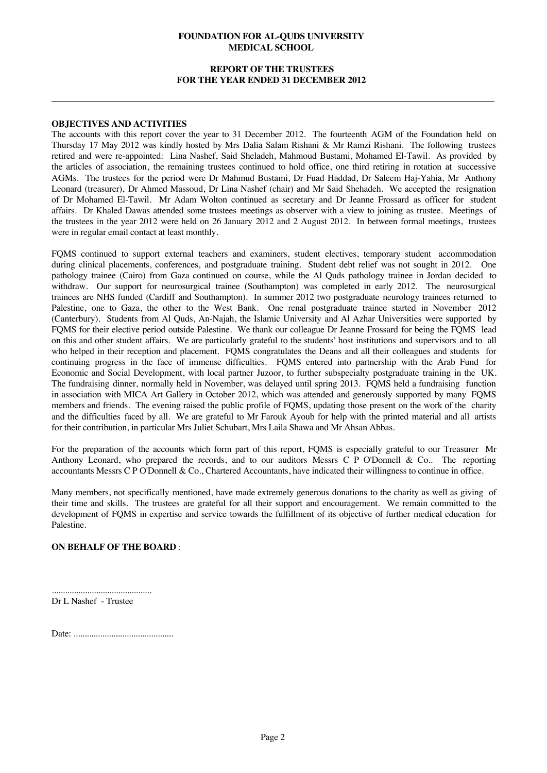## **REPORT OF THE TRUSTEES FOR THE YEAR ENDED 31 DECEMBER 2012**

#### **OBJECTIVES AND ACTIVITIES**

The accounts with this report cover the year to 31 December 2012. The fourteenth AGM of the Foundation held on Thursday 17 May 2012 was kindly hosted by Mrs Dalia Salam Rishani & Mr Ramzi Rishani. The following trustees retired and were re-appointed: Lina Nashef, Said Sheladeh, Mahmoud Bustami, Mohamed El-Tawil. As provided by the articles of association, the remaining trustees continued to hold office, one third retiring in rotation at successive AGMs. The trustees for the period were Dr Mahmud Bustami, Dr Fuad Haddad, Dr Saleem Haj-Yahia, Mr Anthony Leonard (treasurer), Dr Ahmed Massoud, Dr Lina Nashef (chair) and Mr Said Shehadeh. We accepted the resignation of Dr Mohamed El-Tawil. Mr Adam Wolton continued as secretary and Dr Jeanne Frossard as officer for student affairs. Dr Khaled Dawas attended some trustees meetings as observer with a view to joining as trustee. Meetings of the trustees in the year 2012 were held on 26 January 2012 and 2 August 2012. In between formal meetings, trustees were in regular email contact at least monthly.

FQMS continued to support external teachers and examiners, student electives, temporary student accommodation during clinical placements, conferences, and postgraduate training. Student debt relief was not sought in 2012. One pathology trainee (Cairo) from Gaza continued on course, while the Al Quds pathology trainee in Jordan decided to withdraw. Our support for neurosurgical trainee (Southampton) was completed in early 2012. The neurosurgical trainees are NHS funded (Cardiff and Southampton). In summer 2012 two postgraduate neurology trainees returned to Palestine, one to Gaza, the other to the West Bank. One renal postgraduate trainee started in November 2012 (Canterbury). Students from Al Quds, An-Najah, the Islamic University and Al Azhar Universities were supported by FQMS for their elective period outside Palestine. We thank our colleague Dr Jeanne Frossard for being the FQMS lead on this and other student affairs. We are particularly grateful to the students' host institutions and supervisors and to all who helped in their reception and placement. FQMS congratulates the Deans and all their colleagues and students for continuing progress in the face of immense difficulties. FQMS entered into partnership with the Arab Fund for Economic and Social Development, with local partner Juzoor, to further subspecialty postgraduate training in the UK. The fundraising dinner, normally held in November, was delayed until spring 2013. FQMS held a fundraising function in association with MICA Art Gallery in October 2012, which was attended and generously supported by many FQMS members and friends. The evening raised the public profile of FQMS, updating those present on the work of the charity and the difficulties faced by all. We are grateful to Mr Farouk Ayoub for help with the printed material and all artists for their contribution, in particular Mrs Juliet Schubart, Mrs Laila Shawa and Mr Ahsan Abbas.

For the preparation of the accounts which form part of this report, FQMS is especially grateful to our Treasurer Mr Anthony Leonard, who prepared the records, and to our auditors Messrs C P O'Donnell & Co.. The reporting accountants Messrs C P O'Donnell & Co., Chartered Accountants, have indicated their willingness to continue in office.

Many members, not specifically mentioned, have made extremely generous donations to the charity as well as giving of their time and skills. The trustees are grateful for all their support and encouragement. We remain committed to the development of FQMS in expertise and service towards the fulfillment of its objective of further medical education for Palestine.

## **ON BEHALF OF THE BOARD** :

............................................. Dr L Nashef - Trustee

Date: .............................................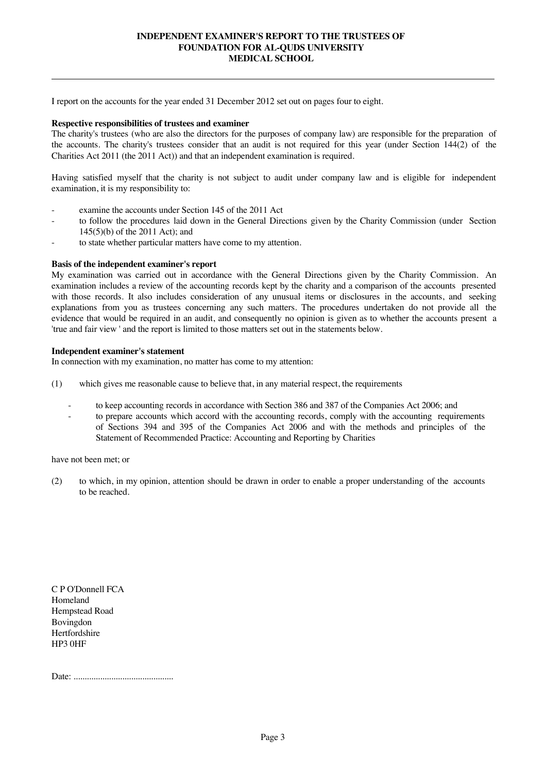## **INDEPENDENT EXAMINER'S REPORT TO THE TRUSTEES OF FOUNDATION FOR AL-QUDS UNIVERSITY MEDICAL SCHOOL**

I report on the accounts for the year ended 31 December 2012 set out on pages four to eight.

#### **Respective responsibilities of trustees and examiner**

The charity's trustees (who are also the directors for the purposes of company law) are responsible for the preparation of the accounts. The charity's trustees consider that an audit is not required for this year (under Section 144(2) of the Charities Act 2011 (the 2011 Act)) and that an independent examination is required.

Having satisfied myself that the charity is not subject to audit under company law and is eligible for independent examination, it is my responsibility to:

- examine the accounts under Section 145 of the 2011 Act
- to follow the procedures laid down in the General Directions given by the Charity Commission (under Section 145(5)(b) of the 2011 Act); and
- to state whether particular matters have come to my attention.

## **Basis of the independent examiner's report**

My examination was carried out in accordance with the General Directions given by the Charity Commission. An examination includes a review of the accounting records kept by the charity and a comparison of the accounts presented with those records. It also includes consideration of any unusual items or disclosures in the accounts, and seeking explanations from you as trustees concerning any such matters. The procedures undertaken do not provide all the evidence that would be required in an audit, and consequently no opinion is given as to whether the accounts present a 'true and fair view ' and the report is limited to those matters set out in the statements below.

## **Independent examiner's statement**

In connection with my examination, no matter has come to my attention:

- (1) which gives me reasonable cause to believe that, in any material respect, the requirements
	- to keep accounting records in accordance with Section 386 and 387 of the Companies Act 2006; and
	- to prepare accounts which accord with the accounting records, comply with the accounting requirements of Sections 394 and 395 of the Companies Act 2006 and with the methods and principles of the Statement of Recommended Practice: Accounting and Reporting by Charities

have not been met; or

(2) to which, in my opinion, attention should be drawn in order to enable a proper understanding of the accounts to be reached.

C P O'Donnell FCA Homeland Hempstead Road Bovingdon Hertfordshire HP3 0HF

Date: .............................................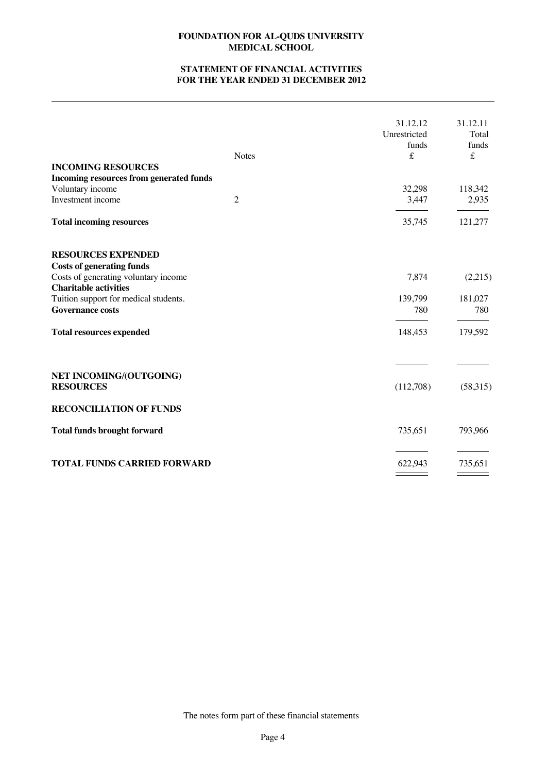# **STATEMENT OF FINANCIAL ACTIVITIES FOR THE YEAR ENDED 31 DECEMBER 2012**

| <b>INCOMING RESOURCES</b><br>Incoming resources from generated funds<br>Voluntary income<br>Investment income<br><b>Total incoming resources</b>                                                                                             | <b>Notes</b><br>$\overline{c}$ | 31.12.12<br>Unrestricted<br>funds<br>$\pounds$<br>32,298<br>3,447<br>35,745 | 31.12.11<br>Total<br>funds<br>£<br>118,342<br>2,935<br>121,277 |
|----------------------------------------------------------------------------------------------------------------------------------------------------------------------------------------------------------------------------------------------|--------------------------------|-----------------------------------------------------------------------------|----------------------------------------------------------------|
|                                                                                                                                                                                                                                              |                                |                                                                             |                                                                |
| <b>RESOURCES EXPENDED</b><br><b>Costs of generating funds</b><br>Costs of generating voluntary income<br><b>Charitable activities</b><br>Tuition support for medical students.<br><b>Governance costs</b><br><b>Total resources expended</b> |                                | 7,874<br>139,799<br>780<br>148,453                                          | (2,215)<br>181,027<br>780<br>179,592                           |
| NET INCOMING/(OUTGOING)<br><b>RESOURCES</b>                                                                                                                                                                                                  |                                | (112,708)                                                                   | (58,315)                                                       |
| <b>RECONCILIATION OF FUNDS</b>                                                                                                                                                                                                               |                                |                                                                             |                                                                |
| <b>Total funds brought forward</b>                                                                                                                                                                                                           |                                | 735,651                                                                     | 793,966                                                        |
| <b>TOTAL FUNDS CARRIED FORWARD</b>                                                                                                                                                                                                           |                                | 622,943                                                                     | 735,651                                                        |

The notes form part of these financial statements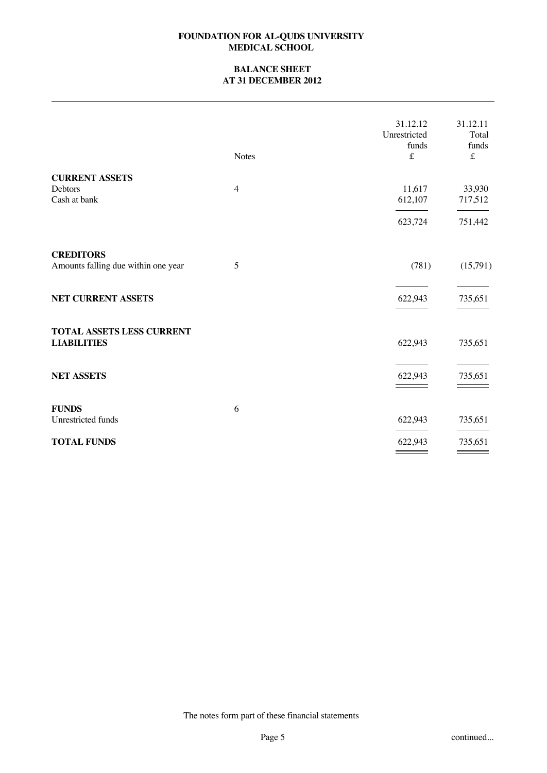## **BALANCE SHEET AT 31 DECEMBER 2012**

|                                     | <b>Notes</b>   | 31.12.12<br>Unrestricted<br>funds<br>$\pounds$ | 31.12.11<br>Total<br>funds<br>$\pounds$ |
|-------------------------------------|----------------|------------------------------------------------|-----------------------------------------|
| <b>CURRENT ASSETS</b>               |                |                                                |                                         |
| Debtors<br>Cash at bank             | $\overline{4}$ | 11,617<br>612,107                              | 33,930<br>717,512                       |
|                                     |                | 623,724                                        | 751,442                                 |
| <b>CREDITORS</b>                    | 5              |                                                |                                         |
| Amounts falling due within one year |                | (781)                                          | (15,791)                                |
| NET CURRENT ASSETS                  |                | 622,943                                        | 735,651                                 |
| TOTAL ASSETS LESS CURRENT           |                |                                                |                                         |
| <b>LIABILITIES</b>                  |                | 622,943                                        | 735,651                                 |
| <b>NET ASSETS</b>                   |                | 622,943                                        | 735,651                                 |
| <b>FUNDS</b>                        | 6              |                                                |                                         |
| Unrestricted funds                  |                | 622,943                                        | 735,651                                 |
| <b>TOTAL FUNDS</b>                  |                | 622,943                                        | 735,651                                 |

The notes form part of these financial statements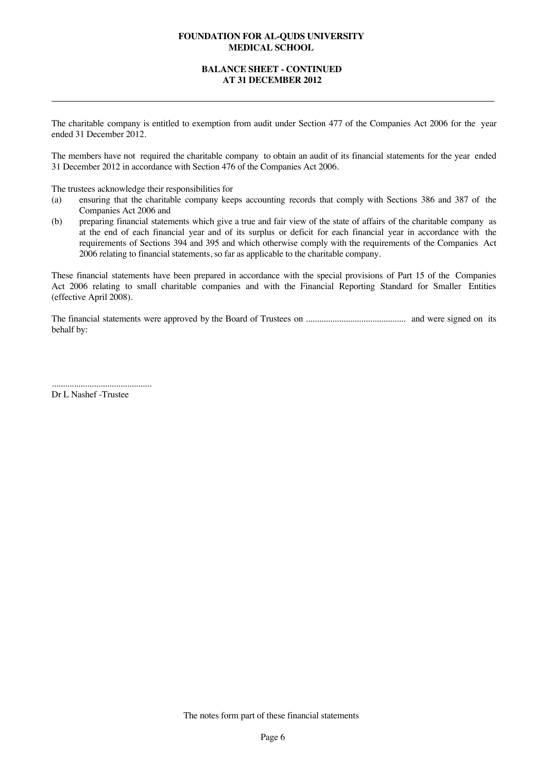## **BALANCE SHEET - CONTINUED AT 31 DECEMBER 2012**

The charitable company is entitled to exemption from audit under Section 477 of the Companies Act 2006 for the year ended 31 December 2012.

The members have not required the charitable company to obtain an audit of its financial statements for the year ended 31 December 2012 in accordance with Section 476 of the Companies Act 2006.

The trustees acknowledge their responsibilities for

- (a) ensuring that the charitable company keeps accounting records that comply with Sections 386 and 387 of the Companies Act 2006 and
- (b) preparing financial statements which give a true and fair view of the state of affairs of the charitable company as at the end of each financial year and of its surplus or deficit for each financial year in accordance with the requirements of Sections 394 and 395 and which otherwise comply with the requirements of the Companies Act 2006 relating to financial statements, so far as applicable to the charitable company.

These financial statements have been prepared in accordance with the special provisions of Part 15 of the Companies Act 2006 relating to small charitable companies and with the Financial Reporting Standard for Smaller Entities (effective April 2008).

The financial statements were approved by the Board of Trustees on ............................................. and were signed on its behalf by:

............................................. Dr L Nashef -Trustee

The notes form part of these financial statements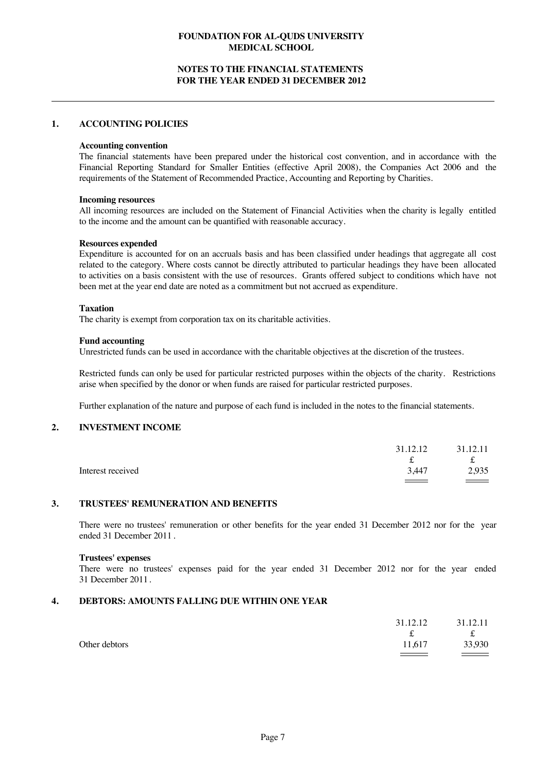## **NOTES TO THE FINANCIAL STATEMENTS FOR THE YEAR ENDED 31 DECEMBER 2012**

### **1. ACCOUNTING POLICIES**

#### **Accounting convention**

The financial statements have been prepared under the historical cost convention, and in accordance with the Financial Reporting Standard for Smaller Entities (effective April 2008), the Companies Act 2006 and the requirements of the Statement of Recommended Practice, Accounting and Reporting by Charities.

#### **Incoming resources**

All incoming resources are included on the Statement of Financial Activities when the charity is legally entitled to the income and the amount can be quantified with reasonable accuracy.

#### **Resources expended**

Expenditure is accounted for on an accruals basis and has been classified under headings that aggregate all cost related to the category. Where costs cannot be directly attributed to particular headings they have been allocated to activities on a basis consistent with the use of resources. Grants offered subject to conditions which have not been met at the year end date are noted as a commitment but not accrued as expenditure.

### **Taxation**

The charity is exempt from corporation tax on its charitable activities.

### **Fund accounting**

Unrestricted funds can be used in accordance with the charitable objectives at the discretion of the trustees.

Restricted funds can only be used for particular restricted purposes within the objects of the charity. Restrictions arise when specified by the donor or when funds are raised for particular restricted purposes.

Further explanation of the nature and purpose of each fund is included in the notes to the financial statements.

## **2. INVESTMENT INCOME**

|                   | 31.12.12 | 31.12.11      |
|-------------------|----------|---------------|
|                   | ∼        | t             |
| Interest received | 3.447    | 2,935         |
|                   |          | $\sim$ $\sim$ |

## **3. TRUSTEES' REMUNERATION AND BENEFITS**

There were no trustees' remuneration or other benefits for the year ended 31 December 2012 nor for the year ended 31 December 2011 .

#### **Trustees' expenses**

There were no trustees' expenses paid for the year ended 31 December 2012 nor for the year ended 31 December 2011.

## **4. DEBTORS: AMOUNTS FALLING DUE WITHIN ONE YEAR**

|               | 31.12.12 | 31.12.11 |
|---------------|----------|----------|
|               |          | f        |
| Other debtors | 11,617   | 33,930   |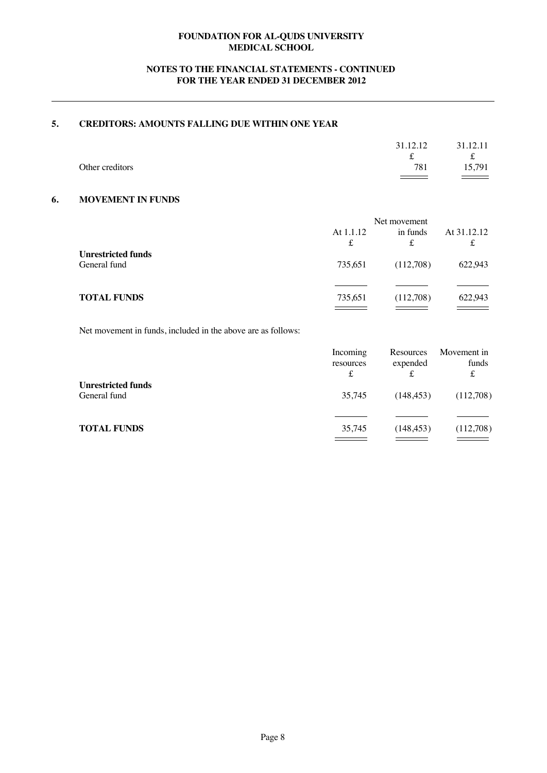# **NOTES TO THE FINANCIAL STATEMENTS - CONTINUED FOR THE YEAR ENDED 31 DECEMBER 2012**

# **5. CREDITORS: AMOUNTS FALLING DUE WITHIN ONE YEAR**

|                 | 31.12.12          | 31.12.11      |
|-----------------|-------------------|---------------|
|                 | s                 | t.            |
| Other creditors | 781               | 15,791        |
|                 | $\equiv$ $\equiv$ | $\sim$ $\sim$ |

## **6. MOVEMENT IN FUNDS**

|                                           | Net movement   |               |                  |
|-------------------------------------------|----------------|---------------|------------------|
|                                           | At 1.1.12<br>£ | in funds<br>£ | At 31.12.12<br>£ |
| <b>Unrestricted funds</b><br>General fund | 735.651        | (112,708)     | 622,943          |
| <b>TOTAL FUNDS</b>                        | 735.651        | (112,708)     | 622,943          |

Net movement in funds, included in the above are as follows:

|                                           | Incoming<br>resources<br>£ | Resources<br>expended | Movement in<br>funds<br>£ |
|-------------------------------------------|----------------------------|-----------------------|---------------------------|
| <b>Unrestricted funds</b><br>General fund | 35,745                     | (148, 453)            | (112,708)                 |
| <b>TOTAL FUNDS</b>                        | 35,745                     | (148, 453)            | (112,708)                 |